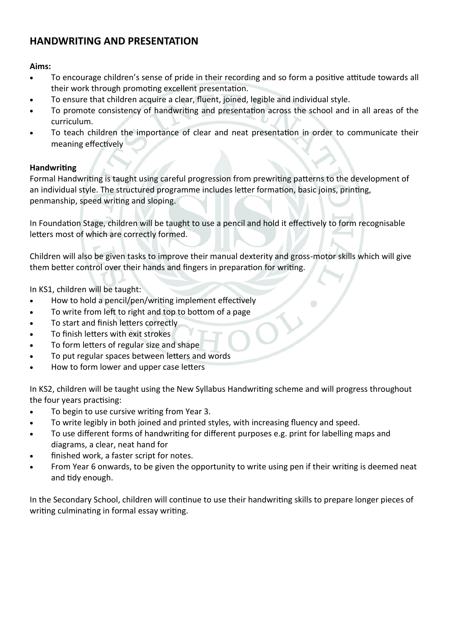# **HANDWRITING AND PRESENTATION**

**Aims:**

- To encourage children's sense of pride in their recording and so form a positive attitude towards all their work through promoting excellent presentation.
- To ensure that children acquire a clear, fluent, joined, legible and individual style.
- To promote consistency of handwriting and presentation across the school and in all areas of the curriculum.
- To teach children the importance of clear and neat presentation in order to communicate their meaning effectively

## **Handwriting**

Formal Handwriting is taught using careful progression from prewriting patterns to the development of an individual style. The structured programme includes letter formation, basic joins, printing, penmanship, speed writing and sloping.

In Foundation Stage, children will be taught to use a pencil and hold it effectively to form recognisable letters most of which are correctly formed.

Children will also be given tasks to improve their manual dexterity and gross-motor skills which will give them better control over their hands and fingers in preparation for writing.

In KS1, children will be taught:

- How to hold a pencil/pen/writing implement effectively
- To write from left to right and top to bottom of a page
- To start and finish letters correctly
- To finish letters with exit strokes
- To form letters of regular size and shape
- To put regular spaces between letters and words
- How to form lower and upper case letters

In KS2, children will be taught using the New Syllabus Handwriting scheme and will progress throughout the four years practising:

- To begin to use cursive writing from Year 3.
- To write legibly in both joined and printed styles, with increasing fluency and speed.
- To use different forms of handwriting for different purposes e.g. print for labelling maps and diagrams, a clear, neat hand for
- finished work, a faster script for notes.
- From Year 6 onwards, to be given the opportunity to write using pen if their writing is deemed neat and tidy enough.

In the Secondary School, children will continue to use their handwriting skills to prepare longer pieces of writing culminating in formal essay writing.